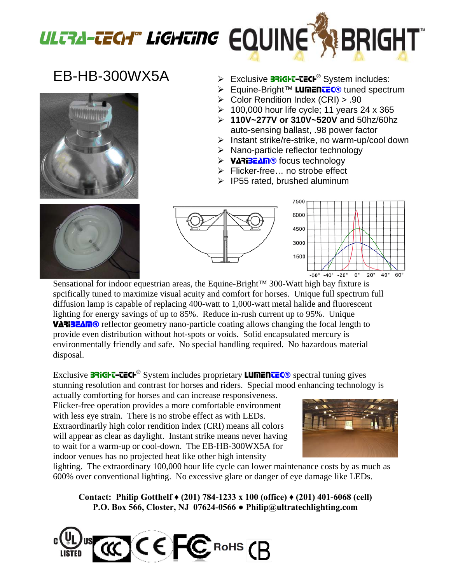

## EB-HB-300WX5A



- > Exclusive **BRIGHT-TECH<sup>®</sup> System includes:**
- > Equine-Bright™ LUMENTEC<sup>®</sup> tuned spectrum
- ¾ Color Rendition Index (CRI) > .90
- $\geq 100,000$  hour life cycle; 11 years 24 x 365
- ¾ **110V~277V or 310V~520V** and 50hz/60hz auto-sensing ballast, .98 power factor
- $\triangleright$  Instant strike/re-strike, no warm-up/cool down
- $\triangleright$  Nano-particle reflector technology
- > VARIBEAM<sup>®</sup> focus technology
- ¾ Flicker-free… no strobe effect
- $\triangleright$  IP55 rated, brushed aluminum







Sensational for indoor equestrian areas, the Equine-Bright™ 300-Watt high bay fixture is spcifically tuned to maximize visual acuity and comfort for horses. Unique full spectrum full diffusion lamp is capable of replacing 400-watt to 1,000-watt metal halide and fluorescent lighting for energy savings of up to 85%. Reduce in-rush current up to 95%. Unique VARIBEAM<sup>®</sup> reflector geometry nano-particle coating allows changing the focal length to provide even distribution without hot-spots or voids. Solid encapsulated mercury is environmentally friendly and safe. No special handling required. No hazardous material disposal.

Exclusive **BRIGHT-TECH<sup>®</sup>** System includes proprietary **LUMENTEC<sup>®</sup>** spectral tuning gives stunning resolution and contrast for horses and riders. Special mood enhancing technology is

actually comforting for horses and can increase responsiveness. Flicker-free operation provides a more comfortable environment with less eye strain. There is no strobe effect as with LEDs. Extraordinarily high color rendition index (CRI) means all colors will appear as clear as daylight. Instant strike means never having to wait for a warm-up or cool-down. The EB-HB-300WX5A for indoor venues has no projected heat like other high intensity



lighting. The extraordinary 100,000 hour life cycle can lower maintenance costs by as much as 600% over conventional lighting. No excessive glare or danger of eye damage like LEDs.

**Contact: Philip Gotthelf ♦ (201) 784-1233 x 100 (office) ♦ (201) 401-6068 (cell) P.O. Box 566, Closter, NJ 07624-0566 ● Philip@ultratechlighting.com**